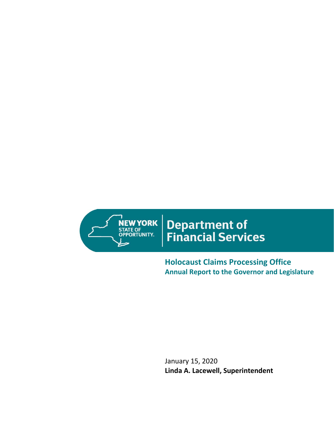

# Department of<br>Financial Services

**Holocaust Claims Processing Office Annual Report to the Governor and Legislature**

January 15, 2020 **Linda A. Lacewell, Superintendent**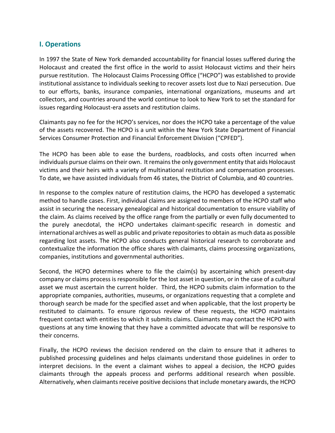## **I. Operations**

In 1997 the State of New York demanded accountability for financial losses suffered during the Holocaust and created the first office in the world to assist Holocaust victims and their heirs pursue restitution. The Holocaust Claims Processing Office ("HCPO") was established to provide institutional assistance to individuals seeking to recover assets lost due to Nazi persecution. Due to our efforts, banks, insurance companies, international organizations, museums and art collectors, and countries around the world continue to look to New York to set the standard for issues regarding Holocaust-era assets and restitution claims.

Claimants pay no fee for the HCPO's services, nor does the HCPO take a percentage of the value of the assets recovered. The HCPO is a unit within the New York State Department of Financial Services Consumer Protection and Financial Enforcement Division ("CPFED").

The HCPO has been able to ease the burdens, roadblocks, and costs often incurred when individuals pursue claims on their own. It remains the only government entity that aids Holocaust victims and their heirs with a variety of multinational restitution and compensation processes. To date, we have assisted individuals from 46 states, the District of Columbia, and 40 countries.

In response to the complex nature of restitution claims, the HCPO has developed a systematic method to handle cases. First, individual claims are assigned to members of the HCPO staff who assist in securing the necessary genealogical and historical documentation to ensure viability of the claim. As claims received by the office range from the partially or even fully documented to the purely anecdotal, the HCPO undertakes claimant-specific research in domestic and international archives as well as public and private repositories to obtain as much data as possible regarding lost assets. The HCPO also conducts general historical research to corroborate and contextualize the information the office shares with claimants, claims processing organizations, companies, institutions and governmental authorities.

Second, the HCPO determines where to file the claim(s) by ascertaining which present-day company or claims process is responsible for the lost asset in question, or in the case of a cultural asset we must ascertain the current holder. Third, the HCPO submits claim information to the appropriate companies, authorities, museums, or organizations requesting that a complete and thorough search be made for the specified asset and when applicable, that the lost property be restituted to claimants. To ensure rigorous review of these requests, the HCPO maintains frequent contact with entities to which it submits claims. Claimants may contact the HCPO with questions at any time knowing that they have a committed advocate that will be responsive to their concerns.

Finally, the HCPO reviews the decision rendered on the claim to ensure that it adheres to published processing guidelines and helps claimants understand those guidelines in order to interpret decisions. In the event a claimant wishes to appeal a decision, the HCPO guides claimants through the appeals process and performs additional research when possible. Alternatively, when claimants receive positive decisions that include monetary awards, the HCPO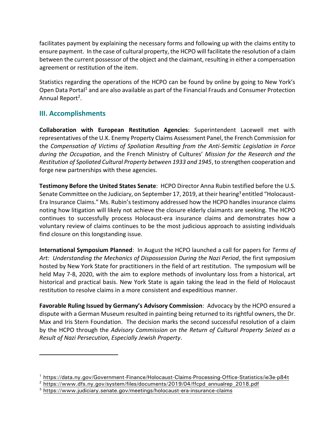facilitates payment by explaining the necessary forms and following up with the claims entity to ensure payment. In the case of cultural property, the HCPO will facilitate the resolution of a claim between the current possessor of the object and the claimant, resulting in either a compensation agreement or restitution of the item.

Statistics regarding the operations of the HCPO can be found by online by going to New York's Open Data Portal<sup>1</sup> and are also available as part of the Financial Frauds and Consumer Protection Annual Report<sup>2</sup>.

## **III. Accomplishments**

 $\overline{a}$ 

**Collaboration with European Restitution Agencies**: Superintendent Lacewell met with representatives of the U.K. Enemy Property Claims Assessment Panel, the French Commission for the *Compensation of Victims of Spoliation Resulting from the Anti-Semitic Legislation in Force during the Occupation*, and the French Ministry of Cultures' *Mission for the Research and the Restitution of Spoliated Cultural Property between 1933 and 1945*, to strengthen cooperation and forge new partnerships with these agencies.

**Testimony Before the United States Senate**: HCPO Director Anna Rubin testified before the U.S. Senate Committee on the Judiciary, on September 17, 2019, at their hearing<sup>3</sup> entitled "Holocaust-Era Insurance Claims." Ms. Rubin's testimony addressed how the HCPO handles insurance claims noting how litigation will likely not achieve the closure elderly claimants are seeking. The HCPO continues to successfully process Holocaust-era insurance claims and demonstrates how a voluntary review of claims continues to be the most judicious approach to assisting individuals find closure on this longstanding issue.

**International Symposium Planned**: In August the HCPO launched a call for papers for *Terms of Art: Understanding the Mechanics of Dispossession During the Nazi Period*, the first symposium hosted by New York State for practitioners in the field of art restitution. The symposium will be held May 7-8, 2020, with the aim to explore methods of involuntary loss from a historical, art historical and practical basis. New York State is again taking the lead in the field of Holocaust restitution to resolve claims in a more consistent and expeditious manner.

**Favorable Ruling Issued by Germany's Advisory Commission**: Advocacy by the HCPO ensured a dispute with a German Museum resulted in painting being returned to its rightful owners, the Dr. Max and Iris Stern Foundation. The decision marks the second successful resolution of a claim by the HCPO through the *Advisory Commission on the Return of Cultural Property Seized as a Result of Nazi Persecution, Especially Jewish Property*.

<sup>&</sup>lt;sup>1</sup> <https://data.ny.gov/Government-Finance/Holocaust-Claims-Processing-Office-Statistics/ie3e-p84t>

 $2 \text{ https://www.dfs.ny.gov/system/files/documents/2019/04/ffcpd}$  annualrep 2018.pdf

<sup>&</sup>lt;sup>3</sup> <https://www.judiciary.senate.gov/meetings/holocaust-era-insurance-claims>